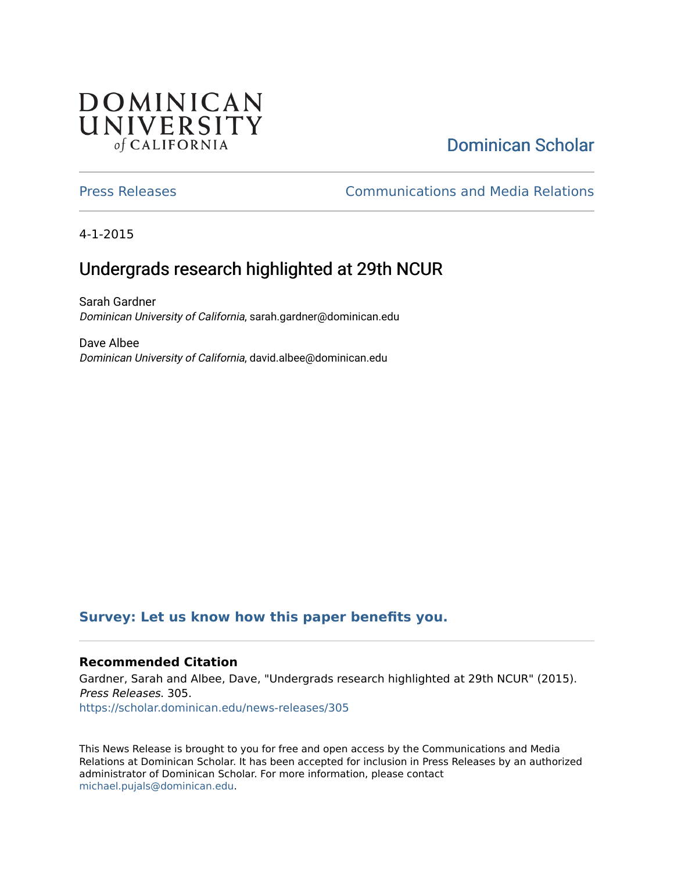## **DOMINICAN** UNIVERSITY of CALIFORNIA

# [Dominican Scholar](https://scholar.dominican.edu/)

[Press Releases](https://scholar.dominican.edu/news-releases) [Communications and Media Relations](https://scholar.dominican.edu/communications-media) 

4-1-2015

## Undergrads research highlighted at 29th NCUR

Sarah Gardner Dominican University of California, sarah.gardner@dominican.edu

Dave Albee Dominican University of California, david.albee@dominican.edu

#### **[Survey: Let us know how this paper benefits you.](https://dominican.libwizard.com/dominican-scholar-feedback)**

#### **Recommended Citation**

Gardner, Sarah and Albee, Dave, "Undergrads research highlighted at 29th NCUR" (2015). Press Releases. 305. [https://scholar.dominican.edu/news-releases/305](https://scholar.dominican.edu/news-releases/305?utm_source=scholar.dominican.edu%2Fnews-releases%2F305&utm_medium=PDF&utm_campaign=PDFCoverPages)

This News Release is brought to you for free and open access by the Communications and Media Relations at Dominican Scholar. It has been accepted for inclusion in Press Releases by an authorized administrator of Dominican Scholar. For more information, please contact [michael.pujals@dominican.edu.](mailto:michael.pujals@dominican.edu)